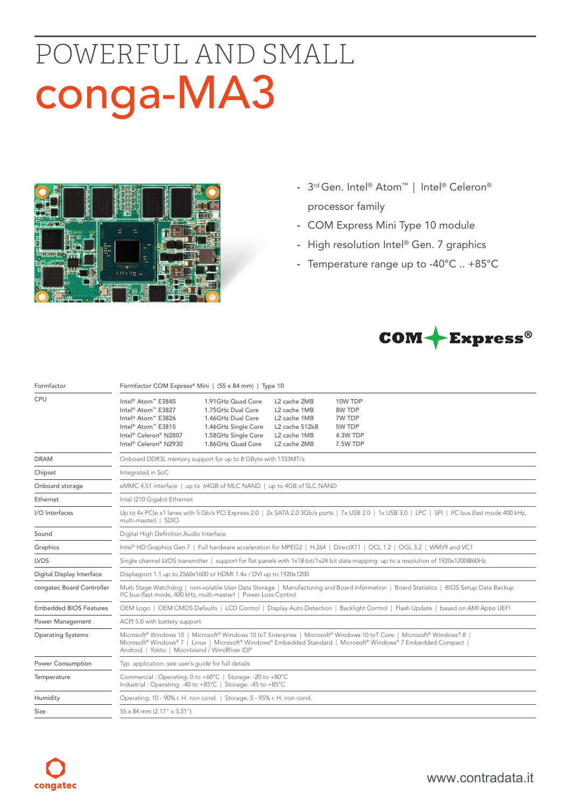# POWERFUL AND SMALL conga-MA3



- 3rd Gen. Intel® Atom™ | Intel® Celeron® processor family
- COM Express Mini Type 10 module
- High resolution Intel® Gen. 7 graphics
- Temperature range up to -40°C .. +85°C



| Formfactor                    | Formfactor COM Express® Mini   (55 x 84 mm)   Type 10                                                                                                                                                                                                                                     |                                                                                                                                |                                                                                                                        |                                                               |  |  |  |
|-------------------------------|-------------------------------------------------------------------------------------------------------------------------------------------------------------------------------------------------------------------------------------------------------------------------------------------|--------------------------------------------------------------------------------------------------------------------------------|------------------------------------------------------------------------------------------------------------------------|---------------------------------------------------------------|--|--|--|
| CPU                           | Intel <sup>®</sup> Atom™ E3845<br>Intel <sup>®</sup> Atom™ E3827<br>Intel <sup>®</sup> Atom™ E3826<br>Intel <sup>®</sup> Atom™ E3815<br>Intel® Celeron® N2807<br>Intel® Celeron® N2930                                                                                                    | 1.91GHz Quad Core<br>1.75GHz Dual Core<br>1.46GHz Dual Core<br>1.46GHz Single Core<br>1.58GHz Single Core<br>1.86GHz Quad Core | L <sub>2</sub> cache 2MB<br>L2 cache 1MB<br>L <sub>2</sub> cache 1MB<br>L2 cache 512kB<br>L2 cache 1MB<br>L2 cache 2MB | 10W TDP<br>8W TDP<br>7W TDP<br>5W TDP<br>4.3W TDP<br>7.5W TDP |  |  |  |
| <b>DRAM</b>                   | Onboard DDR3L memory support for up to 8 GByte with 1333MT/s                                                                                                                                                                                                                              |                                                                                                                                |                                                                                                                        |                                                               |  |  |  |
| Chipset                       | Integrated in SoC                                                                                                                                                                                                                                                                         |                                                                                                                                |                                                                                                                        |                                                               |  |  |  |
| Onboard storage               | eMMC 4.51 interface   up to 64GB of MLC NAND   up to 4GB of SLC NAND                                                                                                                                                                                                                      |                                                                                                                                |                                                                                                                        |                                                               |  |  |  |
| Ethernet                      | Intel I210 Gigabit Ethernet                                                                                                                                                                                                                                                               |                                                                                                                                |                                                                                                                        |                                                               |  |  |  |
| I/O Interfaces                | Up to 4x PCIe x1 lanes with 5 Gb/s PCI Express 2.0   2x SATA 2.0 3Gb/s ports   7x USB 2.0   1x USB 3.0   LPC   SPI   I <sup>2</sup> C bus (fast mode 400 kHz,<br>multi-master)   SDIO                                                                                                     |                                                                                                                                |                                                                                                                        |                                                               |  |  |  |
| Sound                         | Digital High Definition Audio Interface                                                                                                                                                                                                                                                   |                                                                                                                                |                                                                                                                        |                                                               |  |  |  |
| Graphics                      | Intel® HD Graphics Gen 7   Full hardware acceleration for MPEG2   H.264   DirectX11   OCL 1.2   OGL 3.2   WMV9 and VC1                                                                                                                                                                    |                                                                                                                                |                                                                                                                        |                                                               |  |  |  |
| <b>LVDS</b>                   | Single channel LVDS transmitter   support for flat panels with 1x18 bit/1x24 bit data mapping up to a resolution of 1920x1200@60Hz.                                                                                                                                                       |                                                                                                                                |                                                                                                                        |                                                               |  |  |  |
| Digital Display Interface     | Displayport 1.1 up to 2560x1600 or HDMI 1.4a / DVI up to 1920x1200                                                                                                                                                                                                                        |                                                                                                                                |                                                                                                                        |                                                               |  |  |  |
| congatec Board Controller     | Multi Stage Watchdog   non-volatile User Data Storage   Manufacturing and Board Information   Board Statistics   BIOS Setup Data Backup<br>I <sup>2</sup> C bus (fast mode, 400 kHz, multi-master)   Power Loss Control                                                                   |                                                                                                                                |                                                                                                                        |                                                               |  |  |  |
| <b>Embedded BIOS Features</b> | OEM Logo   OEM CMOS Defaults   LCD Control   Display Auto Detection   Backlight Control   Flash Update   based on AMI Aptio UEFI                                                                                                                                                          |                                                                                                                                |                                                                                                                        |                                                               |  |  |  |
| <b>Power Management</b>       | ACPI 5.0 with battery support                                                                                                                                                                                                                                                             |                                                                                                                                |                                                                                                                        |                                                               |  |  |  |
| <b>Operating Systems</b>      | Microsoft® Windows 10   Microsoft® Windows 10 IoT Enterprise   Microsoft® Windows 10 IoT Core   Microsoft® Windows® 8<br>Microsoft® Windows® 7   Linux   Microsoft® Windows® Embedded Standard   Microsoft® Windows® 7 Embedded Compact  <br>Android   Yokto   MoonIsland / WindRiver IDP |                                                                                                                                |                                                                                                                        |                                                               |  |  |  |
| Power Consumption             | Typ. application: see user's guide for full details                                                                                                                                                                                                                                       |                                                                                                                                |                                                                                                                        |                                                               |  |  |  |
| Temperature                   | Commercial: Operating: 0 to +60°C   Storage: -20 to +80°C<br>Industrial: Operating: -40 to +85°C   Storage: -45 to +85°C                                                                                                                                                                  |                                                                                                                                |                                                                                                                        |                                                               |  |  |  |
| Humidity                      | Operating: 10 - 90% r. H. non cond.   Storage: 5 - 95% r. H. non cond.                                                                                                                                                                                                                    |                                                                                                                                |                                                                                                                        |                                                               |  |  |  |
| <b>Size</b>                   | $55 \times 84$ mm (2.17" $\times$ 3.31")                                                                                                                                                                                                                                                  |                                                                                                                                |                                                                                                                        |                                                               |  |  |  |